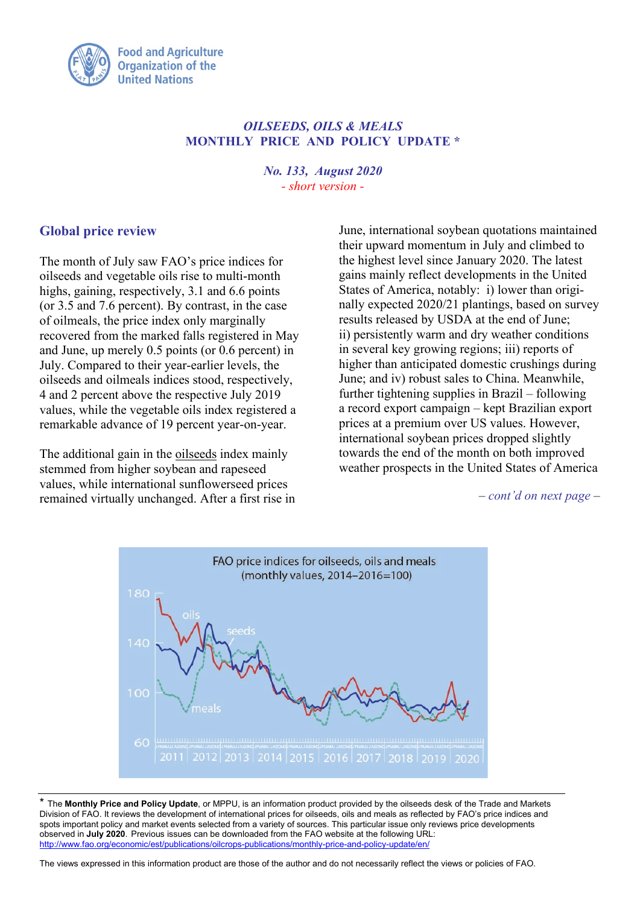

## *OILSEEDS, OILS & MEALS* **MONTHLY PRICE AND POLICY UPDATE \***

*No. 133, August 2020 - short version -* 

## **Global price review**

The month of July saw FAO's price indices for oilseeds and vegetable oils rise to multi-month highs, gaining, respectively, 3.1 and 6.6 points (or 3.5 and 7.6 percent). By contrast, in the case of oilmeals, the price index only marginally recovered from the marked falls registered in May and June, up merely 0.5 points (or 0.6 percent) in July. Compared to their year-earlier levels, the oilseeds and oilmeals indices stood, respectively, 4 and 2 percent above the respective July 2019 values, while the vegetable oils index registered a remarkable advance of 19 percent year-on-year.

The additional gain in the oilseeds index mainly stemmed from higher soybean and rapeseed values, while international sunflowerseed prices remained virtually unchanged. After a first rise in June, international soybean quotations maintained their upward momentum in July and climbed to the highest level since January 2020. The latest gains mainly reflect developments in the United States of America, notably: i) lower than originally expected 2020/21 plantings, based on survey results released by USDA at the end of June; ii) persistently warm and dry weather conditions in several key growing regions; iii) reports of higher than anticipated domestic crushings during June; and iv) robust sales to China. Meanwhile, further tightening supplies in Brazil – following a record export campaign – kept Brazilian export prices at a premium over US values. However, international soybean prices dropped slightly towards the end of the month on both improved weather prospects in the United States of America

*– cont'd on next page –* 



\* The **Monthly Price and Policy Update**, or MPPU, is an information product provided by the oilseeds desk of the Trade and Markets Division of FAO. It reviews the development of international prices for oilseeds, oils and meals as reflected by FAO's price indices and spots important policy and market events selected from a variety of sources. This particular issue only reviews price developments observed in **July 2020**. Previous issues can be downloaded from the FAO website at the following URL: <http://www.fao.org/economic/est/publications/oilcrops-publications/monthly-price-and-policy-update/en/>

The views expressed in this information product are those of the author and do not necessarily reflect the views or policies of FAO.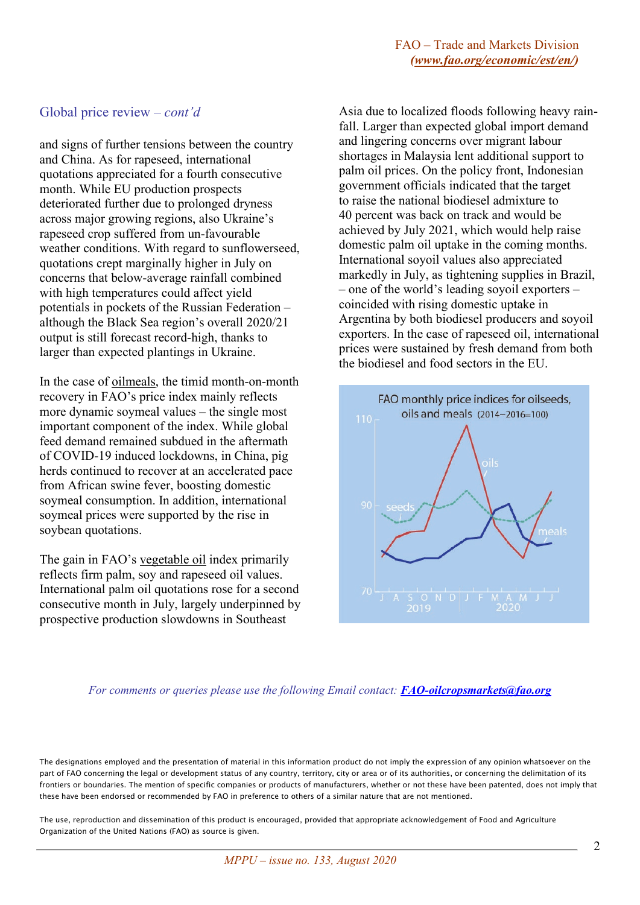## Global price review *– cont'd*

and signs of further tensions between the country and China. As for rapeseed, international quotations appreciated for a fourth consecutive month. While EU production prospects deteriorated further due to prolonged dryness across major growing regions, also Ukraine's rapeseed crop suffered from un-favourable weather conditions. With regard to sunflowerseed, quotations crept marginally higher in July on concerns that below-average rainfall combined with high temperatures could affect yield potentials in pockets of the Russian Federation – although the Black Sea region's overall 2020/21 output is still forecast record-high, thanks to larger than expected plantings in Ukraine.

In the case of oilmeals, the timid month-on-month recovery in FAO's price index mainly reflects more dynamic soymeal values – the single most important component of the index. While global feed demand remained subdued in the aftermath of COVID-19 induced lockdowns, in China, pig herds continued to recover at an accelerated pace from African swine fever, boosting domestic soymeal consumption. In addition, international soymeal prices were supported by the rise in soybean quotations.

The gain in FAO's vegetable oil index primarily reflects firm palm, soy and rapeseed oil values. International palm oil quotations rose for a second consecutive month in July, largely underpinned by prospective production slowdowns in Southeast

Asia due to localized floods following heavy rainfall. Larger than expected global import demand and lingering concerns over migrant labour shortages in Malaysia lent additional support to palm oil prices. On the policy front, Indonesian government officials indicated that the target to raise the national biodiesel admixture to 40 percent was back on track and would be achieved by July 2021, which would help raise domestic palm oil uptake in the coming months. International soyoil values also appreciated markedly in July, as tightening supplies in Brazil, – one of the world's leading soyoil exporters – coincided with rising domestic uptake in Argentina by both biodiesel producers and soyoil exporters. In the case of rapeseed oil, international prices were sustained by fresh demand from both the biodiesel and food sectors in the EU.



## *For comments or queries please use the following Email contact: [FAO-oilcropsmarkets@fao.org](mailto:FAO-oilcropsmarkets@fao.org)*

The designations employed and the presentation of material in this information product do not imply the expression of any opinion whatsoever on the part of FAO concerning the legal or development status of any country, territory, city or area or of its authorities, or concerning the delimitation of its frontiers or boundaries. The mention of specific companies or products of manufacturers, whether or not these have been patented, does not imply that these have been endorsed or recommended by FAO in preference to others of a similar nature that are not mentioned.

The use, reproduction and dissemination of this product is encouraged, provided that appropriate acknowledgement of Food and Agriculture Organization of the United Nations (FAO) as source is given.